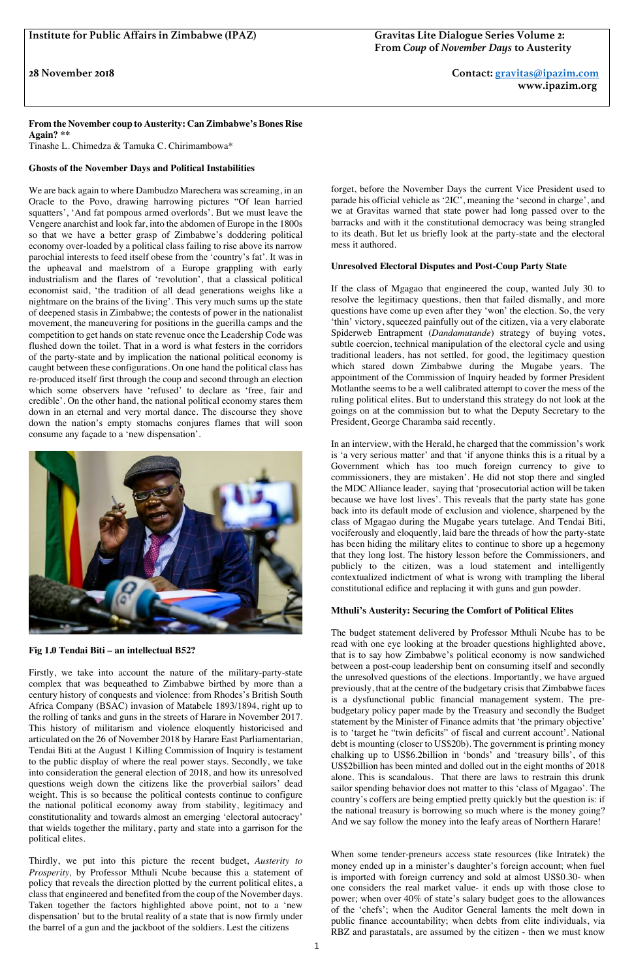**28 November 2018 Contact: gravitas@ipazim.com www.ipazim.org**

**From the November coup to Austerity: Can Zimbabwe's Bones Rise Again? \*\*** Tinashe L. Chimedza & Tamuka C. Chirimambowa\*

## **Ghosts of the November Days and Political Instabilities**

We are back again to where Dambudzo Marechera was screaming, in an Oracle to the Povo, drawing harrowing pictures "Of lean harried squatters', 'And fat pompous armed overlords'. But we must leave the Vengere anarchist and look far, into the abdomen of Europe in the 1800s so that we have a better grasp of Zimbabwe's doddering political economy over-loaded by a political class failing to rise above its narrow parochial interests to feed itself obese from the 'country's fat'. It was in the upheaval and maelstrom of a Europe grappling with early industrialism and the flares of 'revolution', that a classical political economist said, 'the tradition of all dead generations weighs like a nightmare on the brains of the living'. This very much sums up the state of deepened stasis in Zimbabwe; the contests of power in the nationalist movement, the maneuvering for positions in the guerilla camps and the competition to get hands on state revenue once the Leadership Code was flushed down the toilet. That in a word is what festers in the corridors of the party-state and by implication the national political economy is caught between these configurations. On one hand the political class has re-produced itself first through the coup and second through an election which some observers have 'refused' to declare as 'free, fair and credible'. On the other hand, the national political economy stares them down in an eternal and very mortal dance. The discourse they shove down the nation's empty stomachs conjures flames that will soon consume any façade to a 'new dispensation'.



**Fig 1.0 Tendai Biti – an intellectual B52?** 

If the class of Mgagao that engineered the coup, wanted July 30 to resolve the legitimacy questions, then that failed dismally, and more questions have come up even after they 'won' the election. So, the very 'thin' victory, squeezed painfully out of the citizen, via a very elaborate Spiderweb Entrapment (*Dandamutande*) strategy of buying votes, subtle coercion, technical manipulation of the electoral cycle and using traditional leaders, has not settled, for good, the legitimacy question which stared down Zimbabwe during the Mugabe years. The appointment of the Commission of Inquiry headed by former President Motlanthe seems to be a well calibrated attempt to cover the mess of the ruling political elites. But to understand this strategy do not look at the goings on at the commission but to what the Deputy Secretary to the President, George Charamba said recently.

Firstly, we take into account the nature of the military-party-state complex that was bequeathed to Zimbabwe birthed by more than a century history of conquests and violence: from Rhodes's British South Africa Company (BSAC) invasion of Matabele 1893/1894, right up to the rolling of tanks and guns in the streets of Harare in November 2017. This history of militarism and violence eloquently historicised and articulated on the 26 of November 2018 by Harare East Parliamentarian, Tendai Biti at the August 1 Killing Commission of Inquiry is testament to the public display of where the real power stays. Secondly, we take into consideration the general election of 2018, and how its unresolved questions weigh down the citizens like the proverbial sailors' dead weight. This is so because the political contests continue to configure the national political economy away from stability, legitimacy and constitutionality and towards almost an emerging 'electoral autocracy' that wields together the military, party and state into a garrison for the political elites.

Thirdly, we put into this picture the recent budget, *Austerity to Prosperity,* by Professor Mthuli Ncube because this a statement of policy that reveals the direction plotted by the current political elites, a class that engineered and benefited from the coup of the November days. Taken together the factors highlighted above point, not to a 'new dispensation' but to the brutal reality of a state that is now firmly under the barrel of a gun and the jackboot of the soldiers. Lest the citizens

forget, before the November Days the current Vice President used to parade his official vehicle as '2IC', meaning the 'second in charge', and we at Gravitas warned that state power had long passed over to the barracks and with it the constitutional democracy was being strangled to its death. But let us briefly look at the party-state and the electoral mess it authored.

## **Unresolved Electoral Disputes and Post-Coup Party State**

In an interview, with the Herald, he charged that the commission's work is 'a very serious matter' and that 'if anyone thinks this is a ritual by a Government which has too much foreign currency to give to commissioners, they are mistaken'. He did not stop there and singled the MDC Alliance leader, saying that 'prosecutorial action will be taken because we have lost lives'. This reveals that the party state has gone back into its default mode of exclusion and violence, sharpened by the class of Mgagao during the Mugabe years tutelage. And Tendai Biti, vociferously and eloquently, laid bare the threads of how the party-state has been hiding the military elites to continue to shore up a hegemony that they long lost. The history lesson before the Commissioners, and publicly to the citizen, was a loud statement and intelligently contextualized indictment of what is wrong with trampling the liberal constitutional edifice and replacing it with guns and gun powder.

## **Mthuli's Austerity: Securing the Comfort of Political Elites**

The budget statement delivered by Professor Mthuli Ncube has to be read with one eye looking at the broader questions highlighted above, that is to say how Zimbabwe's political economy is now sandwiched between a post-coup leadership bent on consuming itself and secondly the unresolved questions of the elections. Importantly, we have argued previously, that at the centre of the budgetary crisis that Zimbabwe faces is a dysfunctional public financial management system. The prebudgetary policy paper made by the Treasury and secondly the Budget statement by the Minister of Finance admits that 'the primary objective' is to 'target he "twin deficits" of fiscal and current account'. National debt is mounting (closer to US\$20b). The government is printing money chalking up to US\$6.2billion in 'bonds' and 'treasury bills', of this US\$2billion has been minted and dolled out in the eight months of 2018 alone. This is scandalous. That there are laws to restrain this drunk sailor spending behavior does not matter to this 'class of Mgagao'. The country's coffers are being emptied pretty quickly but the question is: if the national treasury is borrowing so much where is the money going? And we say follow the money into the leafy areas of Northern Harare!

When some tender-preneurs access state resources (like Intratek) the money ended up in a minister's daughter's foreign account; when fuel is imported with foreign currency and sold at almost US\$0.30- when one considers the real market value- it ends up with those close to power; when over 40% of state's salary budget goes to the allowances of the 'chefs'; when the Auditor General laments the melt down in public finance accountability; when debts from elite individuals, via RBZ and parastatals, are assumed by the citizen - then we must know